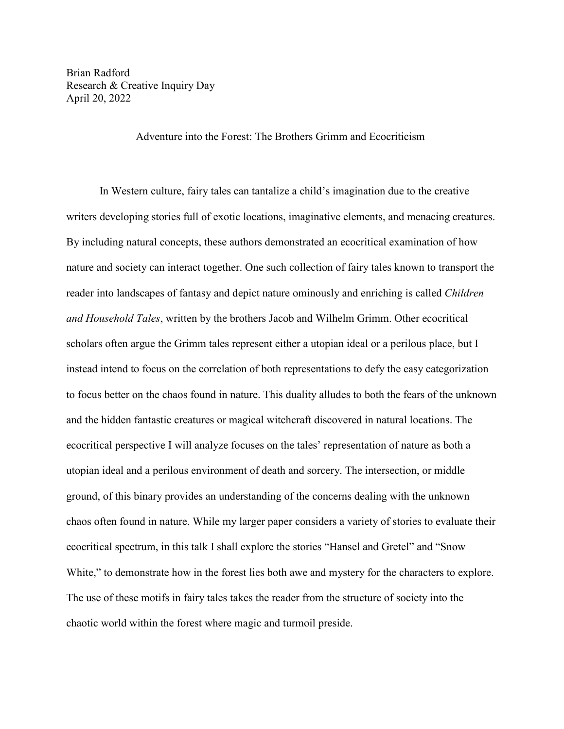Brian Radford Research & Creative Inquiry Day April 20, 2022

Adventure into the Forest: The Brothers Grimm and Ecocriticism

In Western culture, fairy tales can tantalize a child's imagination due to the creative writers developing stories full of exotic locations, imaginative elements, and menacing creatures. By including natural concepts, these authors demonstrated an ecocritical examination of how nature and society can interact together. One such collection of fairy tales known to transport the reader into landscapes of fantasy and depict nature ominously and enriching is called *Children and Household Tales*, written by the brothers Jacob and Wilhelm Grimm. Other ecocritical scholars often argue the Grimm tales represent either a utopian ideal or a perilous place, but I instead intend to focus on the correlation of both representations to defy the easy categorization to focus better on the chaos found in nature. This duality alludes to both the fears of the unknown and the hidden fantastic creatures or magical witchcraft discovered in natural locations. The ecocritical perspective I will analyze focuses on the tales' representation of nature as both a utopian ideal and a perilous environment of death and sorcery. The intersection, or middle ground, of this binary provides an understanding of the concerns dealing with the unknown chaos often found in nature. While my larger paper considers a variety of stories to evaluate their ecocritical spectrum, in this talk I shall explore the stories "Hansel and Gretel" and "Snow White," to demonstrate how in the forest lies both awe and mystery for the characters to explore. The use of these motifs in fairy tales takes the reader from the structure of society into the chaotic world within the forest where magic and turmoil preside.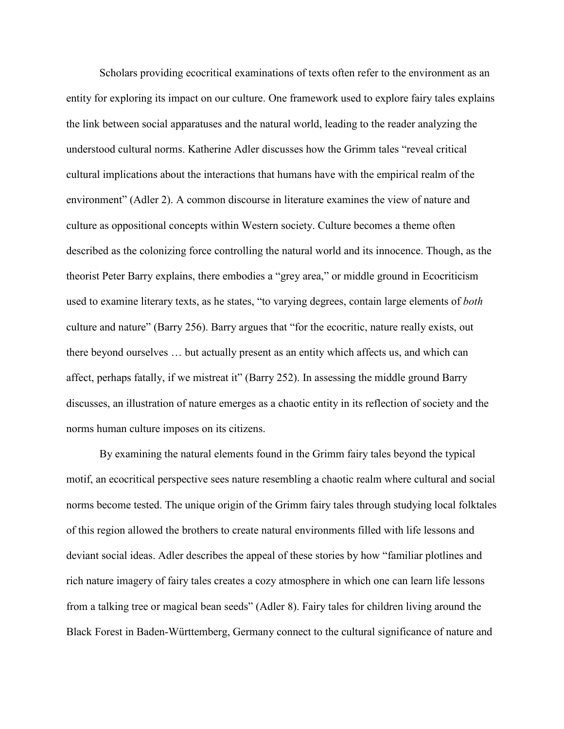Scholars providing ecocritical examinations of texts often refer to the environment as an entity for exploring its impact on our culture. One framework used to explore fairy tales explains the link between social apparatuses and the natural world, leading to the reader analyzing the understood cultural norms. Katherine Adler discusses how the Grimm tales "reveal critical cultural implications about the interactions that humans have with the empirical realm of the environment" (Adler 2). A common discourse in literature examines the view of nature and culture as oppositional concepts within Western society. Culture becomes a theme often described as the colonizing force controlling the natural world and its innocence. Though, as the theorist Peter Barry explains, there embodies a "grey area," or middle ground in Ecocriticism used to examine literary texts, as he states, "to varying degrees, contain large elements of *both* culture and nature" (Barry 256). Barry argues that "for the ecocritic, nature really exists, out there beyond ourselves … but actually present as an entity which affects us, and which can affect, perhaps fatally, if we mistreat it" (Barry 252). In assessing the middle ground Barry discusses, an illustration of nature emerges as a chaotic entity in its reflection of society and the norms human culture imposes on its citizens.

By examining the natural elements found in the Grimm fairy tales beyond the typical motif, an ecocritical perspective sees nature resembling a chaotic realm where cultural and social norms become tested. The unique origin of the Grimm fairy tales through studying local folktales of this region allowed the brothers to create natural environments filled with life lessons and deviant social ideas. Adler describes the appeal of these stories by how "familiar plotlines and rich nature imagery of fairy tales creates a cozy atmosphere in which one can learn life lessons from a talking tree or magical bean seeds" (Adler 8). Fairy tales for children living around the Black Forest in Baden-Württemberg, Germany connect to the cultural significance of nature and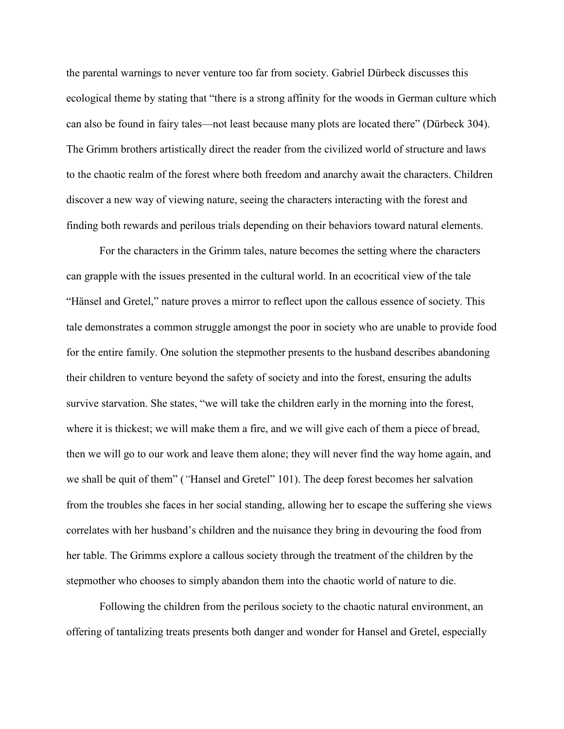the parental warnings to never venture too far from society. Gabriel Dürbeck discusses this ecological theme by stating that "there is a strong affinity for the woods in German culture which can also be found in fairy tales—not least because many plots are located there" (Dürbeck 304). The Grimm brothers artistically direct the reader from the civilized world of structure and laws to the chaotic realm of the forest where both freedom and anarchy await the characters. Children discover a new way of viewing nature, seeing the characters interacting with the forest and finding both rewards and perilous trials depending on their behaviors toward natural elements.

For the characters in the Grimm tales, nature becomes the setting where the characters can grapple with the issues presented in the cultural world. In an ecocritical view of the tale "Hänsel and Gretel," nature proves a mirror to reflect upon the callous essence of society. This tale demonstrates a common struggle amongst the poor in society who are unable to provide food for the entire family. One solution the stepmother presents to the husband describes abandoning their children to venture beyond the safety of society and into the forest, ensuring the adults survive starvation. She states, "we will take the children early in the morning into the forest, where it is thickest; we will make them a fire, and we will give each of them a piece of bread, then we will go to our work and leave them alone; they will never find the way home again, and we shall be quit of them" (*"*Hansel and Gretel" 101). The deep forest becomes her salvation from the troubles she faces in her social standing, allowing her to escape the suffering she views correlates with her husband's children and the nuisance they bring in devouring the food from her table. The Grimms explore a callous society through the treatment of the children by the stepmother who chooses to simply abandon them into the chaotic world of nature to die.

Following the children from the perilous society to the chaotic natural environment, an offering of tantalizing treats presents both danger and wonder for Hansel and Gretel, especially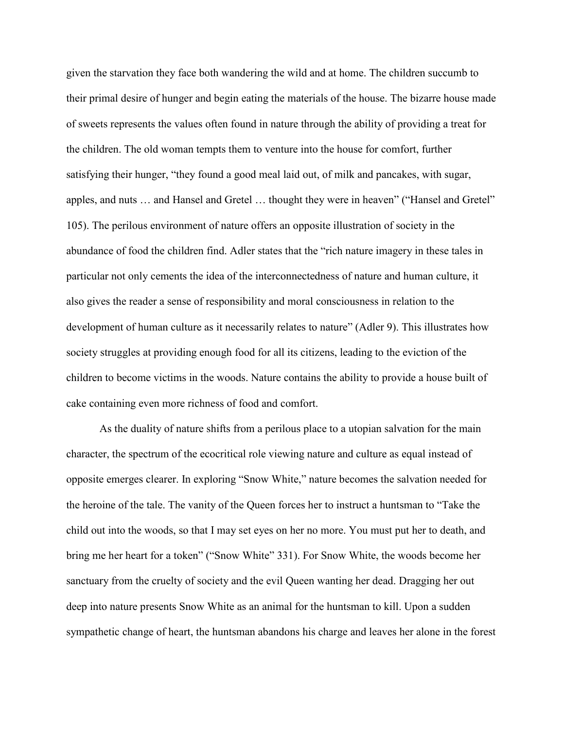given the starvation they face both wandering the wild and at home. The children succumb to their primal desire of hunger and begin eating the materials of the house. The bizarre house made of sweets represents the values often found in nature through the ability of providing a treat for the children. The old woman tempts them to venture into the house for comfort, further satisfying their hunger, "they found a good meal laid out, of milk and pancakes, with sugar, apples, and nuts … and Hansel and Gretel … thought they were in heaven" ("Hansel and Gretel" 105). The perilous environment of nature offers an opposite illustration of society in the abundance of food the children find. Adler states that the "rich nature imagery in these tales in particular not only cements the idea of the interconnectedness of nature and human culture, it also gives the reader a sense of responsibility and moral consciousness in relation to the development of human culture as it necessarily relates to nature" (Adler 9). This illustrates how society struggles at providing enough food for all its citizens, leading to the eviction of the children to become victims in the woods. Nature contains the ability to provide a house built of cake containing even more richness of food and comfort.

As the duality of nature shifts from a perilous place to a utopian salvation for the main character, the spectrum of the ecocritical role viewing nature and culture as equal instead of opposite emerges clearer. In exploring "Snow White," nature becomes the salvation needed for the heroine of the tale. The vanity of the Queen forces her to instruct a huntsman to "Take the child out into the woods, so that I may set eyes on her no more. You must put her to death, and bring me her heart for a token" ("Snow White" 331). For Snow White, the woods become her sanctuary from the cruelty of society and the evil Queen wanting her dead. Dragging her out deep into nature presents Snow White as an animal for the huntsman to kill. Upon a sudden sympathetic change of heart, the huntsman abandons his charge and leaves her alone in the forest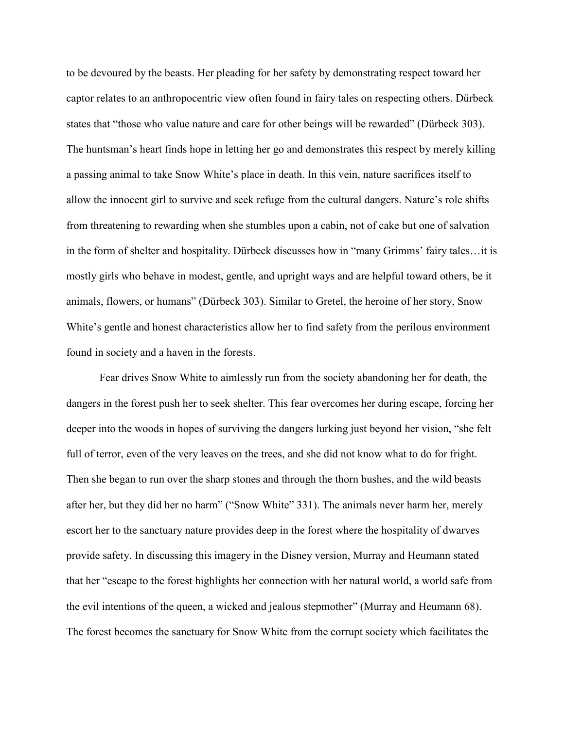to be devoured by the beasts. Her pleading for her safety by demonstrating respect toward her captor relates to an anthropocentric view often found in fairy tales on respecting others. Dürbeck states that "those who value nature and care for other beings will be rewarded" (Dürbeck 303). The huntsman's heart finds hope in letting her go and demonstrates this respect by merely killing a passing animal to take Snow White's place in death. In this vein, nature sacrifices itself to allow the innocent girl to survive and seek refuge from the cultural dangers. Nature's role shifts from threatening to rewarding when she stumbles upon a cabin, not of cake but one of salvation in the form of shelter and hospitality. Dürbeck discusses how in "many Grimms' fairy tales…it is mostly girls who behave in modest, gentle, and upright ways and are helpful toward others, be it animals, flowers, or humans" (Dürbeck 303). Similar to Gretel, the heroine of her story, Snow White's gentle and honest characteristics allow her to find safety from the perilous environment found in society and a haven in the forests.

Fear drives Snow White to aimlessly run from the society abandoning her for death, the dangers in the forest push her to seek shelter. This fear overcomes her during escape, forcing her deeper into the woods in hopes of surviving the dangers lurking just beyond her vision, "she felt full of terror, even of the very leaves on the trees, and she did not know what to do for fright. Then she began to run over the sharp stones and through the thorn bushes, and the wild beasts after her, but they did her no harm" ("Snow White" 331). The animals never harm her, merely escort her to the sanctuary nature provides deep in the forest where the hospitality of dwarves provide safety. In discussing this imagery in the Disney version, Murray and Heumann stated that her "escape to the forest highlights her connection with her natural world, a world safe from the evil intentions of the queen, a wicked and jealous stepmother" (Murray and Heumann 68). The forest becomes the sanctuary for Snow White from the corrupt society which facilitates the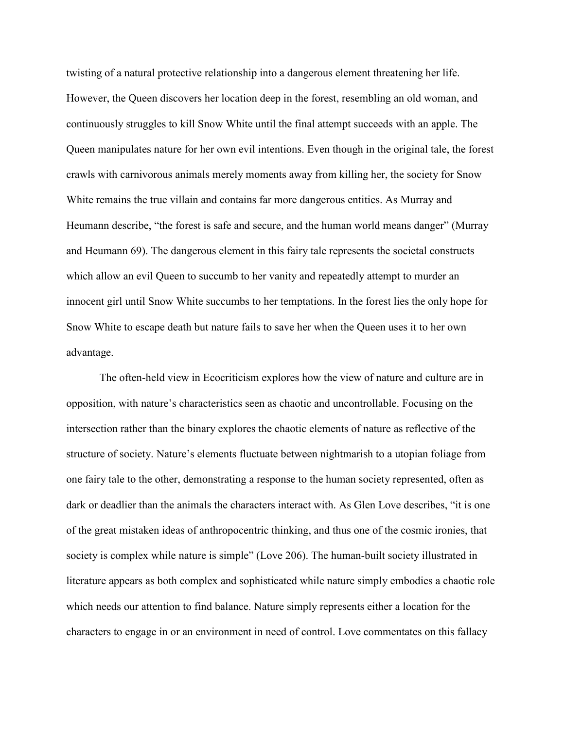twisting of a natural protective relationship into a dangerous element threatening her life. However, the Queen discovers her location deep in the forest, resembling an old woman, and continuously struggles to kill Snow White until the final attempt succeeds with an apple. The Queen manipulates nature for her own evil intentions. Even though in the original tale, the forest crawls with carnivorous animals merely moments away from killing her, the society for Snow White remains the true villain and contains far more dangerous entities. As Murray and Heumann describe, "the forest is safe and secure, and the human world means danger" (Murray and Heumann 69). The dangerous element in this fairy tale represents the societal constructs which allow an evil Queen to succumb to her vanity and repeatedly attempt to murder an innocent girl until Snow White succumbs to her temptations. In the forest lies the only hope for Snow White to escape death but nature fails to save her when the Queen uses it to her own advantage.

The often-held view in Ecocriticism explores how the view of nature and culture are in opposition, with nature's characteristics seen as chaotic and uncontrollable. Focusing on the intersection rather than the binary explores the chaotic elements of nature as reflective of the structure of society. Nature's elements fluctuate between nightmarish to a utopian foliage from one fairy tale to the other, demonstrating a response to the human society represented, often as dark or deadlier than the animals the characters interact with. As Glen Love describes, "it is one of the great mistaken ideas of anthropocentric thinking, and thus one of the cosmic ironies, that society is complex while nature is simple" (Love 206). The human-built society illustrated in literature appears as both complex and sophisticated while nature simply embodies a chaotic role which needs our attention to find balance. Nature simply represents either a location for the characters to engage in or an environment in need of control. Love commentates on this fallacy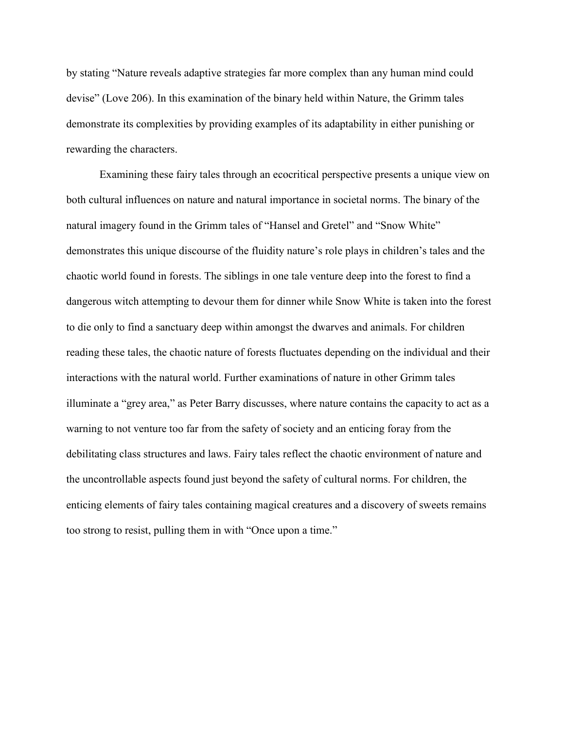by stating "Nature reveals adaptive strategies far more complex than any human mind could devise" (Love 206). In this examination of the binary held within Nature, the Grimm tales demonstrate its complexities by providing examples of its adaptability in either punishing or rewarding the characters.

Examining these fairy tales through an ecocritical perspective presents a unique view on both cultural influences on nature and natural importance in societal norms. The binary of the natural imagery found in the Grimm tales of "Hansel and Gretel" and "Snow White" demonstrates this unique discourse of the fluidity nature's role plays in children's tales and the chaotic world found in forests. The siblings in one tale venture deep into the forest to find a dangerous witch attempting to devour them for dinner while Snow White is taken into the forest to die only to find a sanctuary deep within amongst the dwarves and animals. For children reading these tales, the chaotic nature of forests fluctuates depending on the individual and their interactions with the natural world. Further examinations of nature in other Grimm tales illuminate a "grey area," as Peter Barry discusses, where nature contains the capacity to act as a warning to not venture too far from the safety of society and an enticing foray from the debilitating class structures and laws. Fairy tales reflect the chaotic environment of nature and the uncontrollable aspects found just beyond the safety of cultural norms. For children, the enticing elements of fairy tales containing magical creatures and a discovery of sweets remains too strong to resist, pulling them in with "Once upon a time."